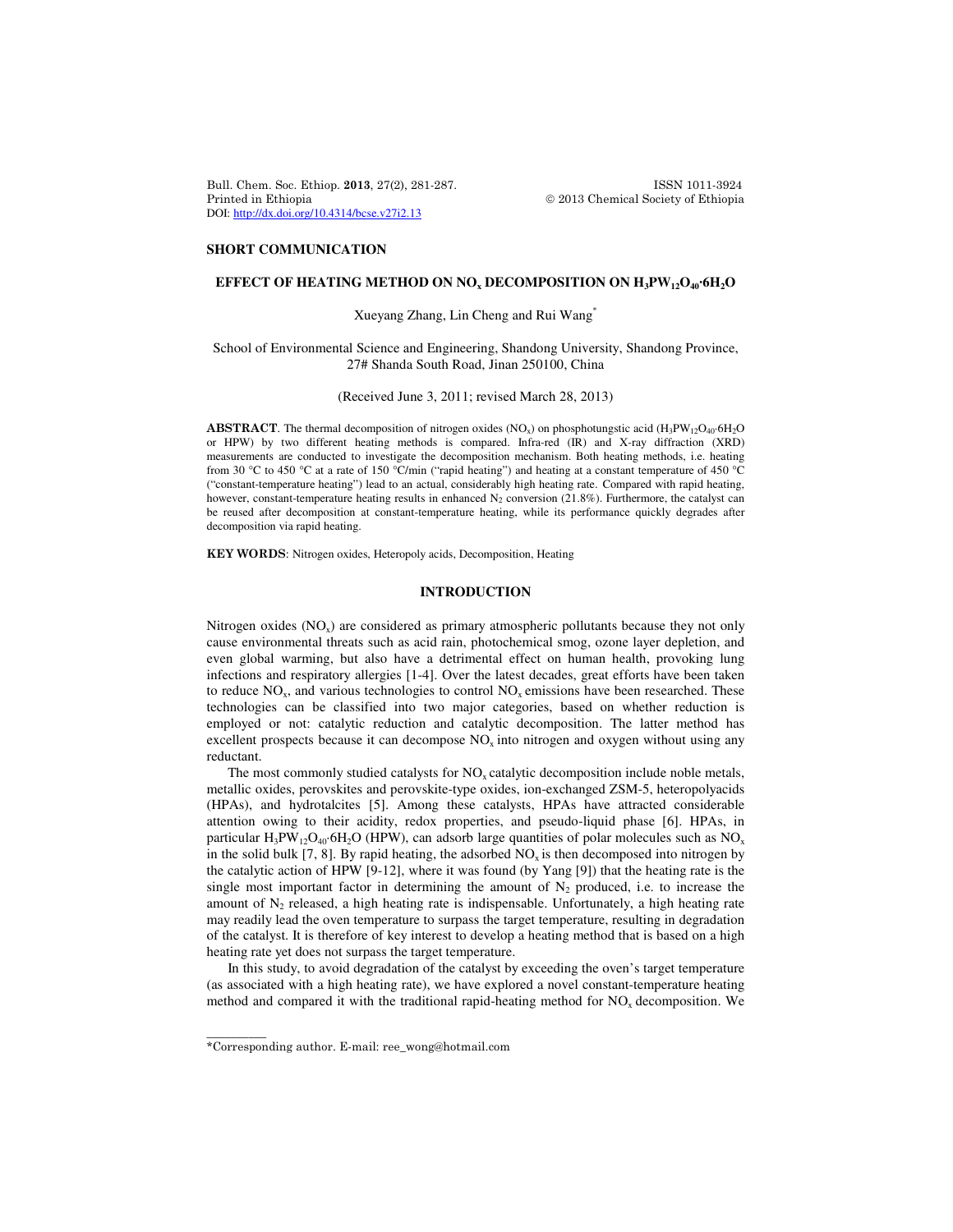Bull. Chem. Soc. Ethiop. 2013, 27(2), 281-287. ISSN 1011-3924 Printed in Ethiopia 2013 Chemical Society of Ethiopia DOI: http://dx.doi.org/10.4314/bcse.v27i2.13

### **SHORT COMMUNICATION**

# **EFFECT OF HEATING METHOD ON NO<sup>x</sup> DECOMPOSITION ON H3PW12O40·6H2O**

# Xueyang Zhang, Lin Cheng and Rui Wang\*

## School of Environmental Science and Engineering, Shandong University, Shandong Province, 27# Shanda South Road, Jinan 250100, China

#### (Received June 3, 2011; revised March 28, 2013)

ABSTRACT. The thermal decomposition of nitrogen oxides (NO<sub>x</sub>) on phosphotungstic acid (H<sub>3</sub>PW<sub>12</sub>O<sub>40</sub>·6H<sub>2</sub>O or HPW) by two different heating methods is compared. Infra-red (IR) and X-ray diffraction (XRD) measurements are conducted to investigate the decomposition mechanism. Both heating methods, i.e. heating from 30 °C to 450 °C at a rate of 150 °C/min ("rapid heating") and heating at a constant temperature of 450 °C ("constant-temperature heating") lead to an actual, considerably high heating rate. Compared with rapid heating, however, constant-temperature heating results in enhanced  $N_2$  conversion (21.8%). Furthermore, the catalyst can be reused after decomposition at constant-temperature heating, while its performance quickly degrades after decomposition via rapid heating.

KEY WORDS: Nitrogen oxides, Heteropoly acids, Decomposition, Heating

## **INTRODUCTION**

Nitrogen oxides  $(NO<sub>x</sub>)$  are considered as primary atmospheric pollutants because they not only cause environmental threats such as acid rain, photochemical smog, ozone layer depletion, and even global warming, but also have a detrimental effect on human health, provoking lung infections and respiratory allergies [1-4]. Over the latest decades, great efforts have been taken to reduce  $NO<sub>x</sub>$ , and various technologies to control  $NO<sub>x</sub>$  emissions have been researched. These technologies can be classified into two major categories, based on whether reduction is employed or not: catalytic reduction and catalytic decomposition. The latter method has excellent prospects because it can decompose  $NO<sub>x</sub>$  into nitrogen and oxygen without using any reductant.

The most commonly studied catalysts for  $NO<sub>x</sub>$  catalytic decomposition include noble metals, metallic oxides, perovskites and perovskite-type oxides, ion-exchanged ZSM-5, heteropolyacids (HPAs), and hydrotalcites [5]. Among these catalysts, HPAs have attracted considerable attention owing to their acidity, redox properties, and pseudo-liquid phase [6]. HPAs, in particular  $H_3PW_{12}O_{40}$  6H<sub>2</sub>O (HPW), can adsorb large quantities of polar molecules such as NO<sub>x</sub> in the solid bulk [7, 8]. By rapid heating, the adsorbed  $NO<sub>x</sub>$  is then decomposed into nitrogen by the catalytic action of HPW [9-12], where it was found (by Yang [9]) that the heating rate is the single most important factor in determining the amount of  $N_2$  produced, i.e. to increase the amount of  $N_2$  released, a high heating rate is indispensable. Unfortunately, a high heating rate may readily lead the oven temperature to surpass the target temperature, resulting in degradation of the catalyst. It is therefore of key interest to develop a heating method that is based on a high heating rate yet does not surpass the target temperature.

In this study, to avoid degradation of the catalyst by exceeding the oven's target temperature (as associated with a high heating rate), we have explored a novel constant-temperature heating method and compared it with the traditional rapid-heating method for  $NO<sub>x</sub>$  decomposition. We

\_\_\_\_\_\_\_\_\_\_

<sup>\*</sup>Corresponding author. E-mail: ree\_wong@hotmail.com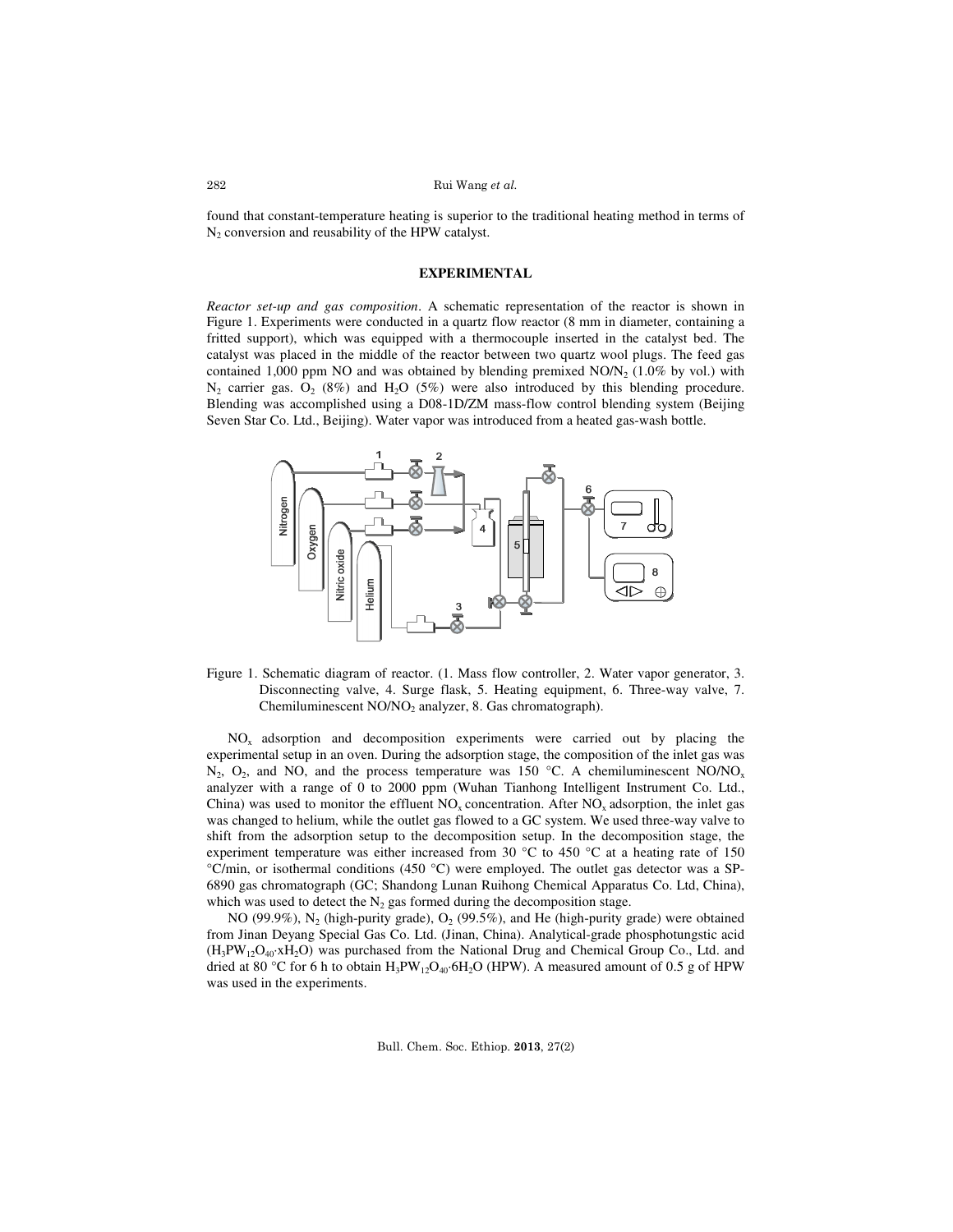found that constant-temperature heating is superior to the traditional heating method in terms of  $N_2$  conversion and reusability of the HPW catalyst.

## **EXPERIMENTAL**

*Reactor set-up and gas composition*. A schematic representation of the reactor is shown in Figure 1. Experiments were conducted in a quartz flow reactor (8 mm in diameter, containing a fritted support), which was equipped with a thermocouple inserted in the catalyst bed. The catalyst was placed in the middle of the reactor between two quartz wool plugs. The feed gas contained 1,000 ppm NO and was obtained by blending premixed  $NON<sub>2</sub>$  (1.0% by vol.) with  $N_2$  carrier gas.  $O_2$  (8%) and  $H_2O$  (5%) were also introduced by this blending procedure. Blending was accomplished using a D08-1D/ZM mass-flow control blending system (Beijing Seven Star Co. Ltd., Beijing). Water vapor was introduced from a heated gas-wash bottle.



Figure 1. Schematic diagram of reactor. (1. Mass flow controller, 2. Water vapor generator, 3. Disconnecting valve, 4. Surge flask, 5. Heating equipment, 6. Three-way valve, 7. Chemiluminescent NO/NO<sub>2</sub> analyzer, 8. Gas chromatograph).

NOx adsorption and decomposition experiments were carried out by placing the experimental setup in an oven. During the adsorption stage, the composition of the inlet gas was  $N_2$ ,  $O_2$ , and NO, and the process temperature was 150 °C. A chemiluminescent NO/NO<sub>x</sub> analyzer with a range of 0 to 2000 ppm (Wuhan Tianhong Intelligent Instrument Co. Ltd., China) was used to monitor the effluent  $NO<sub>x</sub>$  concentration. After  $NO<sub>x</sub>$  adsorption, the inlet gas was changed to helium, while the outlet gas flowed to a GC system. We used three-way valve to shift from the adsorption setup to the decomposition setup. In the decomposition stage, the experiment temperature was either increased from 30  $^{\circ}$ C to 450  $^{\circ}$ C at a heating rate of 150 °C/min, or isothermal conditions (450 °C) were employed. The outlet gas detector was a SP-6890 gas chromatograph (GC; Shandong Lunan Ruihong Chemical Apparatus Co. Ltd, China), which was used to detect the  $N_2$  gas formed during the decomposition stage.

NO (99.9%),  $N_2$  (high-purity grade),  $O_2$  (99.5%), and He (high-purity grade) were obtained from Jinan Deyang Special Gas Co. Ltd. (Jinan, China). Analytical-grade phosphotungstic acid  $(H_3PW_{12}O_{40}xH_2O)$  was purchased from the National Drug and Chemical Group Co., Ltd. and dried at 80 °C for 6 h to obtain  $H_3PW_{12}O_{40}$ ·6H<sub>2</sub>O (HPW). A measured amount of 0.5 g of HPW was used in the experiments.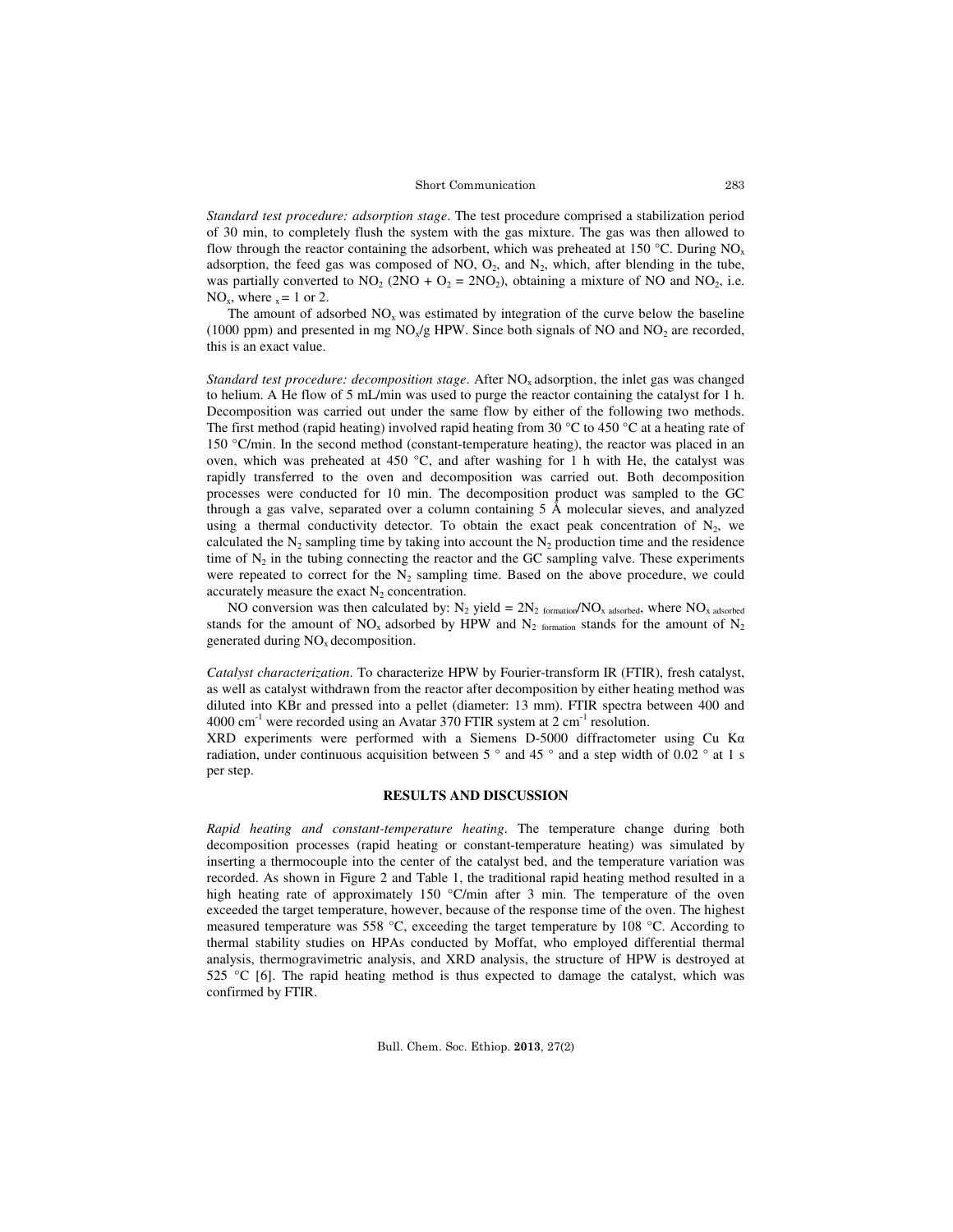#### Short Communication

*Standard test procedure: adsorption stage*. The test procedure comprised a stabilization period of 30 min, to completely flush the system with the gas mixture. The gas was then allowed to flow through the reactor containing the adsorbent, which was preheated at 150 °C. During  $NO<sub>x</sub>$ adsorption, the feed gas was composed of NO,  $O_2$ , and  $N_2$ , which, after blending in the tube, was partially converted to  $NO_2$  (2NO +  $O_2$  = 2NO<sub>2</sub>), obtaining a mixture of NO and NO<sub>2</sub>, i.e.  $NO_x$ , where  $x = 1$  or 2.

The amount of adsorbed  $NO<sub>x</sub>$  was estimated by integration of the curve below the baseline (1000 ppm) and presented in mg  $NO<sub>x</sub>/g$  HPW. Since both signals of NO and  $NO<sub>2</sub>$  are recorded, this is an exact value.

*Standard test procedure: decomposition stage.* After NO<sub>x</sub> adsorption, the inlet gas was changed to helium. A He flow of 5 mL/min was used to purge the reactor containing the catalyst for 1 h. Decomposition was carried out under the same flow by either of the following two methods. The first method (rapid heating) involved rapid heating from 30 °C to 450 °C at a heating rate of 150 °C/min. In the second method (constant-temperature heating), the reactor was placed in an oven, which was preheated at 450 °C, and after washing for 1 h with He, the catalyst was rapidly transferred to the oven and decomposition was carried out. Both decomposition processes were conducted for 10 min. The decomposition product was sampled to the GC through a gas valve, separated over a column containing 5 Å molecular sieves, and analyzed using a thermal conductivity detector. To obtain the exact peak concentration of  $N_2$ , we calculated the  $N_2$  sampling time by taking into account the  $N_2$  production time and the residence time of  $N_2$  in the tubing connecting the reactor and the GC sampling valve. These experiments were repeated to correct for the  $N_2$  sampling time. Based on the above procedure, we could accurately measure the exact  $N_2$  concentration.

NO conversion was then calculated by:  $N_2$  yield =  $2N_2$  formation/NO<sub>x adsorbed</sub>, where NO<sub>x adsorbed</sub> stands for the amount of  $NO_x$  adsorbed by HPW and  $N_2$  formation stands for the amount of  $N_2$ generated during  $NO<sub>x</sub>$  decomposition.

*Catalyst characterization*. To characterize HPW by Fourier-transform IR (FTIR), fresh catalyst, as well as catalyst withdrawn from the reactor after decomposition by either heating method was diluted into KBr and pressed into a pellet (diameter: 13 mm). FTIR spectra between 400 and  $4000 \text{ cm}^{-1}$  were recorded using an Avatar 370 FTIR system at 2 cm<sup>-1</sup> resolution.

XRD experiments were performed with a Siemens D-5000 diffractometer using Cu Kα radiation, under continuous acquisition between 5  $\degree$  and 45  $\degree$  and a step width of 0.02  $\degree$  at 1 s per step.

## **RESULTS AND DISCUSSION**

*Rapid heating and constant-temperature heating*. The temperature change during both decomposition processes (rapid heating or constant-temperature heating) was simulated by inserting a thermocouple into the center of the catalyst bed, and the temperature variation was recorded. As shown in Figure 2 and Table 1, the traditional rapid heating method resulted in a high heating rate of approximately 150 °C/min after 3 min. The temperature of the oven exceeded the target temperature, however, because of the response time of the oven. The highest measured temperature was 558 °C, exceeding the target temperature by 108 °C. According to thermal stability studies on HPAs conducted by Moffat, who employed differential thermal analysis, thermogravimetric analysis, and XRD analysis, the structure of HPW is destroyed at 525  $^{\circ}$ C [6]. The rapid heating method is thus expected to damage the catalyst, which was confirmed by FTIR.

283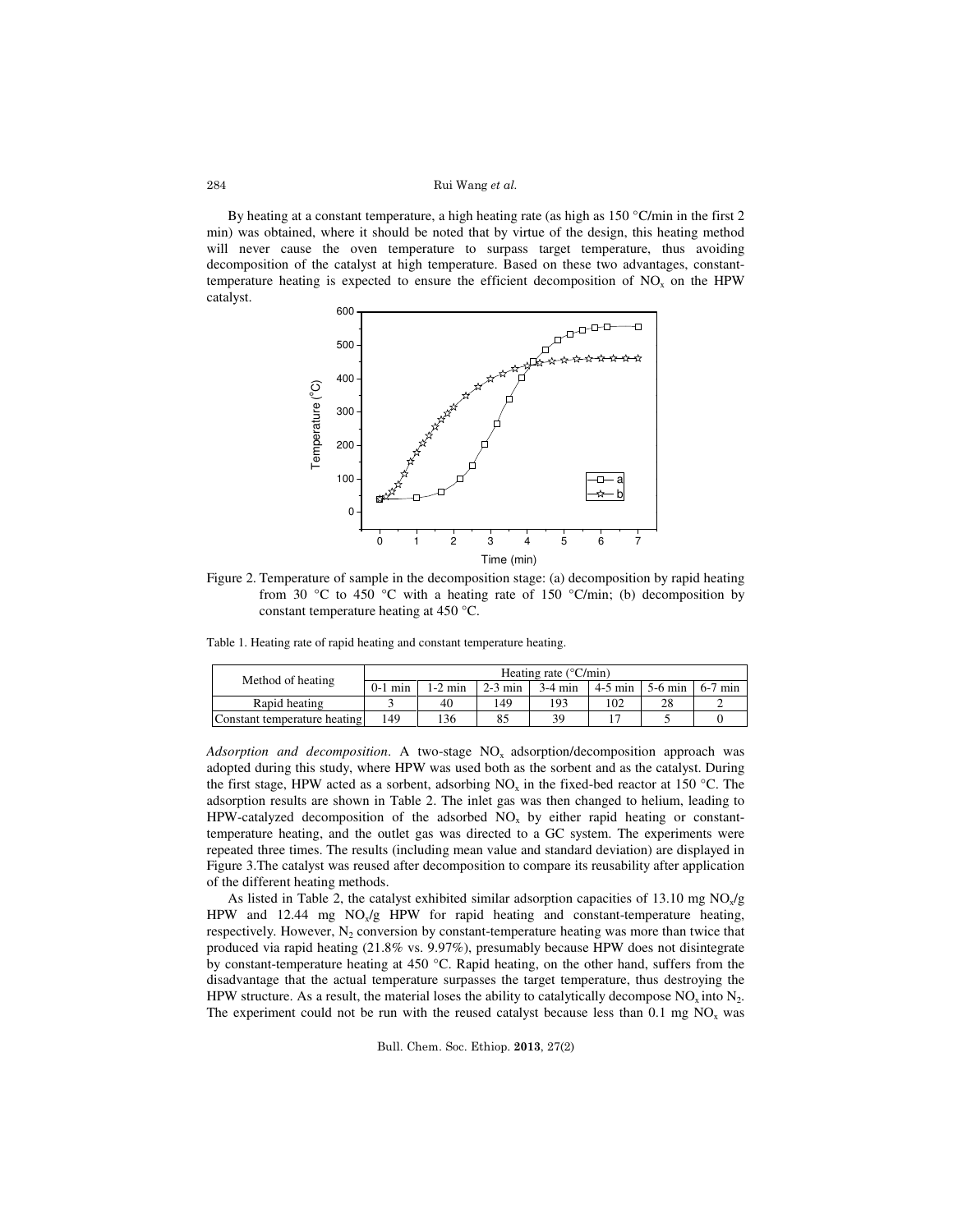Rui Wang et al.

By heating at a constant temperature, a high heating rate (as high as 150 °C/min in the first 2 min) was obtained, where it should be noted that by virtue of the design, this heating method will never cause the oven temperature to surpass target temperature, thus avoiding decomposition of the catalyst at high temperature. Based on these two advantages, constanttemperature heating is expected to ensure the efficient decomposition of  $NO<sub>x</sub>$  on the HPW catalyst.



Figure 2. Temperature of sample in the decomposition stage: (a) decomposition by rapid heating from 30 °C to 450 °C with a heating rate of 150 °C/min; (b) decomposition by constant temperature heating at 450 °C.

Table 1. Heating rate of rapid heating and constant temperature heating.

| Method of heating            | Heating rate $(^{\circ}C/min)$ |           |           |           |           |           |           |  |  |
|------------------------------|--------------------------------|-----------|-----------|-----------|-----------|-----------|-----------|--|--|
|                              | $0-1$ min                      | $1-2$ min | $2-3$ min | $3-4$ min | $4-5$ min | $5-6$ min | $6-7$ min |  |  |
| Rapid heating                |                                | 40        | 149       | 193       | 102       |           |           |  |  |
| Constant temperature heating | 149                            | 136       | 85        | 39        |           |           |           |  |  |

*Adsorption and decomposition*. A two-stage NO<sub>x</sub> adsorption/decomposition approach was adopted during this study, where HPW was used both as the sorbent and as the catalyst. During the first stage, HPW acted as a sorbent, adsorbing  $NO_x$  in the fixed-bed reactor at 150 °C. The adsorption results are shown in Table 2. The inlet gas was then changed to helium, leading to HPW-catalyzed decomposition of the adsorbed  $NO<sub>x</sub>$  by either rapid heating or constanttemperature heating, and the outlet gas was directed to a GC system. The experiments were repeated three times. The results (including mean value and standard deviation) are displayed in Figure 3.The catalyst was reused after decomposition to compare its reusability after application of the different heating methods.

As listed in Table 2, the catalyst exhibited similar adsorption capacities of 13.10 mg  $NO_x/g$ HPW and  $12.44$  mg  $NO_x/g$  HPW for rapid heating and constant-temperature heating, respectively. However,  $N_2$  conversion by constant-temperature heating was more than twice that produced via rapid heating (21.8% vs. 9.97%), presumably because HPW does not disintegrate by constant-temperature heating at 450 °C. Rapid heating, on the other hand, suffers from the disadvantage that the actual temperature surpasses the target temperature, thus destroying the HPW structure. As a result, the material loses the ability to catalytically decompose  $NO_x$  into  $N_2$ . The experiment could not be run with the reused catalyst because less than  $0.1 \text{ mg NO}_x$  was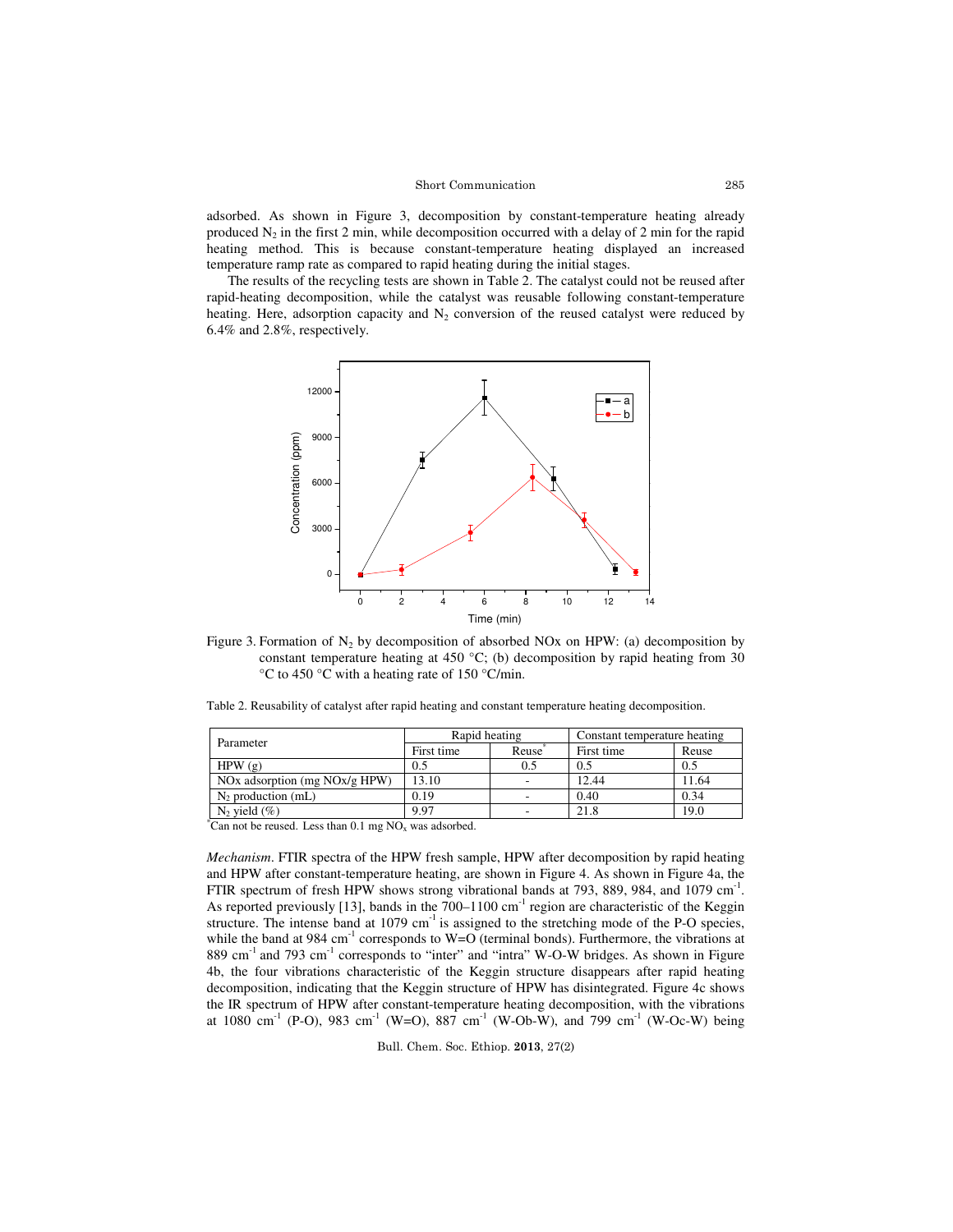### Short Communication

adsorbed. As shown in Figure 3, decomposition by constant-temperature heating already produced  $N_2$  in the first 2 min, while decomposition occurred with a delay of 2 min for the rapid heating method. This is because constant-temperature heating displayed an increased temperature ramp rate as compared to rapid heating during the initial stages.

The results of the recycling tests are shown in Table 2. The catalyst could not be reused after rapid-heating decomposition, while the catalyst was reusable following constant-temperature heating. Here, adsorption capacity and  $N_2$  conversion of the reused catalyst were reduced by 6.4% and 2.8%, respectively.



Figure 3. Formation of  $N_2$  by decomposition of absorbed NOx on HPW: (a) decomposition by constant temperature heating at 450 °C; (b) decomposition by rapid heating from 30 °C to 450 °C with a heating rate of 150 °C/min.

|  |  |  | Table 2. Reusability of catalyst after rapid heating and constant temperature heating decomposition. |  |
|--|--|--|------------------------------------------------------------------------------------------------------|--|
|  |  |  |                                                                                                      |  |

| Parameter                                                                                                                                                                                                                                                                                                                                                               | Rapid heating |       | Constant temperature heating |       |  |  |
|-------------------------------------------------------------------------------------------------------------------------------------------------------------------------------------------------------------------------------------------------------------------------------------------------------------------------------------------------------------------------|---------------|-------|------------------------------|-------|--|--|
|                                                                                                                                                                                                                                                                                                                                                                         | First time    | Reuse | First time                   | Reuse |  |  |
| HPW(g)                                                                                                                                                                                                                                                                                                                                                                  | 0.5           | 0.5   | 0.5                          | 0.5   |  |  |
| NOx adsorption (mg $NOx/g$ HPW)                                                                                                                                                                                                                                                                                                                                         | 13.10         |       | 12.44                        | 11.64 |  |  |
| $N_2$ production (mL)                                                                                                                                                                                                                                                                                                                                                   | 0.19          |       | 0.40                         | 0.34  |  |  |
| $N_2$ yield $(\%)$                                                                                                                                                                                                                                                                                                                                                      | 9.97          |       | 21.8                         | 19.0  |  |  |
| $\mathcal{L}_{\text{C}}$ and $\mathcal{L}_{\text{C}}$ and $\mathcal{L}_{\text{C}}$ and $\mathcal{L}_{\text{C}}$ and $\mathcal{L}_{\text{C}}$ and $\mathcal{L}_{\text{C}}$ and $\mathcal{L}_{\text{C}}$ and $\mathcal{L}_{\text{C}}$ and $\mathcal{L}_{\text{C}}$ and $\mathcal{L}_{\text{C}}$ and $\mathcal{L}_{\text{C}}$ and $\mathcal{L}_{\text{C}}$ and $\mathcal{$ |               |       |                              |       |  |  |

Can not be reused. Less than  $0.1$  mg  $NO<sub>x</sub>$  was adsorbed.

*Mechanism*. FTIR spectra of the HPW fresh sample, HPW after decomposition by rapid heating and HPW after constant-temperature heating, are shown in Figure 4. As shown in Figure 4a, the FTIR spectrum of fresh HPW shows strong vibrational bands at 793, 889, 984, and 1079 cm<sup>-1</sup>. As reported previously [13], bands in the  $700-1100$  cm<sup>-1</sup> region are characteristic of the Keggin structure. The intense band at 1079  $cm^{-1}$  is assigned to the stretching mode of the P-O species, while the band at 984 cm<sup>-1</sup> corresponds to W=O (terminal bonds). Furthermore, the vibrations at 889 cm<sup>-1</sup> and 793 cm<sup>-1</sup> corresponds to "inter" and "intra" W-O-W bridges. As shown in Figure 4b, the four vibrations characteristic of the Keggin structure disappears after rapid heating decomposition, indicating that the Keggin structure of HPW has disintegrated. Figure 4c shows the IR spectrum of HPW after constant-temperature heating decomposition, with the vibrations at 1080 cm<sup>-1</sup> (P-O), 983 cm<sup>-1</sup> (W=O), 887 cm<sup>-1</sup> (W-Ob-W), and 799 cm<sup>-1</sup> (W-Oc-W) being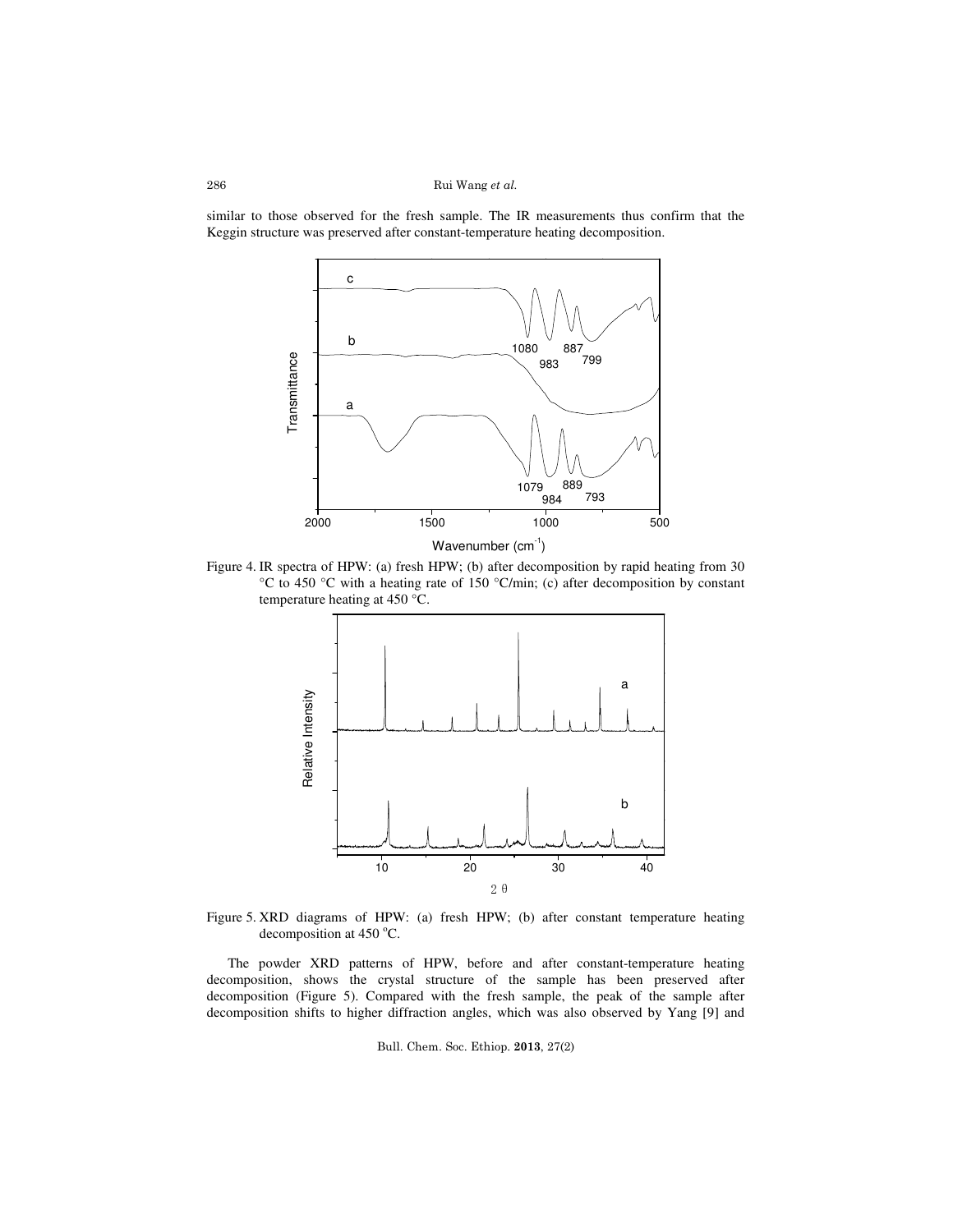Rui Wang et al.

similar to those observed for the fresh sample. The IR measurements thus confirm that the Keggin structure was preserved after constant-temperature heating decomposition.



Figure 4. IR spectra of HPW: (a) fresh HPW; (b) after decomposition by rapid heating from 30 °C to 450 °C with a heating rate of 150 °C/min; (c) after decomposition by constant temperature heating at 450 °C.



Figure 5. XRD diagrams of HPW: (a) fresh HPW; (b) after constant temperature heating decomposition at  $450^{\circ}$ C.

The powder XRD patterns of HPW, before and after constant-temperature heating decomposition, shows the crystal structure of the sample has been preserved after decomposition (Figure 5). Compared with the fresh sample, the peak of the sample after decomposition shifts to higher diffraction angles, which was also observed by Yang [9] and

Bull. Chem. Soc. Ethiop. 2013, 27(2)

286